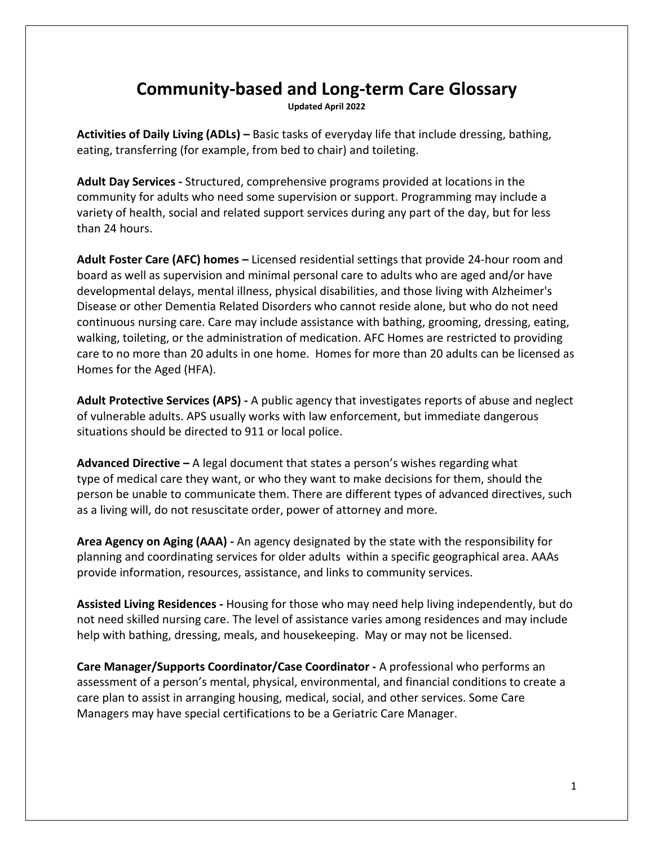## **Community-based and Long-term Care Glossary**

**Updated April 2022**

**Activities of Daily Living (ADLs) –** Basic tasks of everyday life that include dressing, bathing, eating, transferring (for example, from bed to chair) and toileting.

**Adult Day Services -** Structured, comprehensive programs provided at locations in the community for adults who need some supervision or support. Programming may include a variety of health, social and related support services during any part of the day, but for less than 24 hours.

**Adult Foster Care (AFC) homes –** Licensed residential settings that provide 24-hour room and board as well as supervision and minimal personal care to adults who are aged and/or have developmental delays, mental illness, physical disabilities, and those living with Alzheimer's Disease or other Dementia Related Disorders who cannot reside alone, but who do not need continuous nursing care. Care may include assistance with bathing, grooming, dressing, eating, walking, toileting, or the administration of medication. AFC Homes are restricted to providing care to no more than 20 adults in one home.Homes for more than 20 adults can be licensed as Homes for the Aged (HFA).

**Adult Protective Services (APS) -** A public agency that investigates reports of abuse and neglect of vulnerable adults. APS usually works with law enforcement, but immediate dangerous situations should be directed to 911 or local police.

**Advanced Directive –** A legal document that states a person's wishes regarding what type of medical care they want, or who they want to make decisions for them, should the person be unable to communicate them. There are different types of advanced directives, such as a living will, do not resuscitate order, power of attorney and more.

**Area Agency on Aging (AAA) -** An agency designated by the state with the responsibility for planning and coordinating services for older adults within a specific geographical area. AAAs provide information, resources, assistance, and links to community services.

**Assisted Living Residences -** Housing for those who may need help living independently, but do not need skilled nursing care. The level of assistance varies among residences and may include help with bathing, dressing, meals, and housekeeping. May or may not be licensed.

**Care Manager/Supports Coordinator/Case Coordinator -** A professional who performs an assessment of a person's mental, physical, environmental, and financial conditions to create a care plan to assist in arranging housing, medical, social, and other services. Some Care Managers may have special certifications to be a Geriatric Care Manager.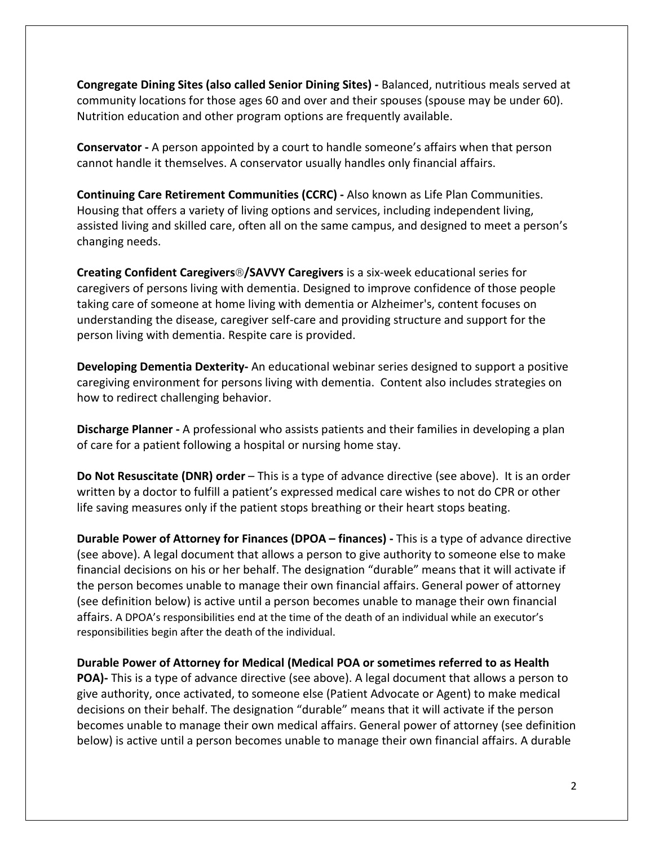**Congregate Dining Sites (also called Senior Dining Sites) -** Balanced, nutritious meals served at community locations for those ages 60 and over and their spouses (spouse may be under 60). Nutrition education and other program options are frequently available.

**Conservator -** A person appointed by a court to handle someone's affairs when that person cannot handle it themselves. A conservator usually handles only financial affairs.

**Continuing Care Retirement Communities (CCRC) -** Also known as Life Plan Communities. Housing that offers a variety of living options and services, including independent living, assisted living and skilled care, often all on the same campus, and designed to meet a person's changing needs.

**Creating Confident Caregivers**®**/SAVVY Caregivers** is a six-week educational series for caregivers of persons living with dementia. Designed to improve confidence of those people taking care of someone at home living with dementia or Alzheimer's, content focuses on understanding the disease, caregiver self-care and providing structure and support for the person living with dementia. Respite care is provided.

**Developing Dementia Dexterity-** An educational webinar series designed to support a positive caregiving environment for persons living with dementia. Content also includes strategies on how to redirect challenging behavior.

**Discharge Planner -** A professional who assists patients and their families in developing a plan of care for a patient following a hospital or nursing home stay.

**Do Not Resuscitate (DNR) order** – This is a type of advance directive (see above). It is an order written by a doctor to fulfill a patient's expressed medical care wishes to not do CPR or other life saving measures only if the patient stops breathing or their heart stops beating.

**Durable Power of Attorney for Finances (DPOA – finances) -** This is a type of advance directive (see above). A legal document that allows a person to give authority to someone else to make financial decisions on his or her behalf. The designation "durable" means that it will activate if the person becomes unable to manage their own financial affairs. General power of attorney (see definition below) is active until a person becomes unable to manage their own financial affairs. A DPOA's responsibilities end at the time of the death of an individual while an executor's responsibilities begin after the death of the individual.

**Durable Power of Attorney for Medical (Medical POA or sometimes referred to as Health POA)-** This is a type of advance directive (see above). A legal document that allows a person to give authority, once activated, to someone else (Patient Advocate or Agent) to make medical decisions on their behalf. The designation "durable" means that it will activate if the person becomes unable to manage their own medical affairs. General power of attorney (see definition below) is active until a person becomes unable to manage their own financial affairs. A durable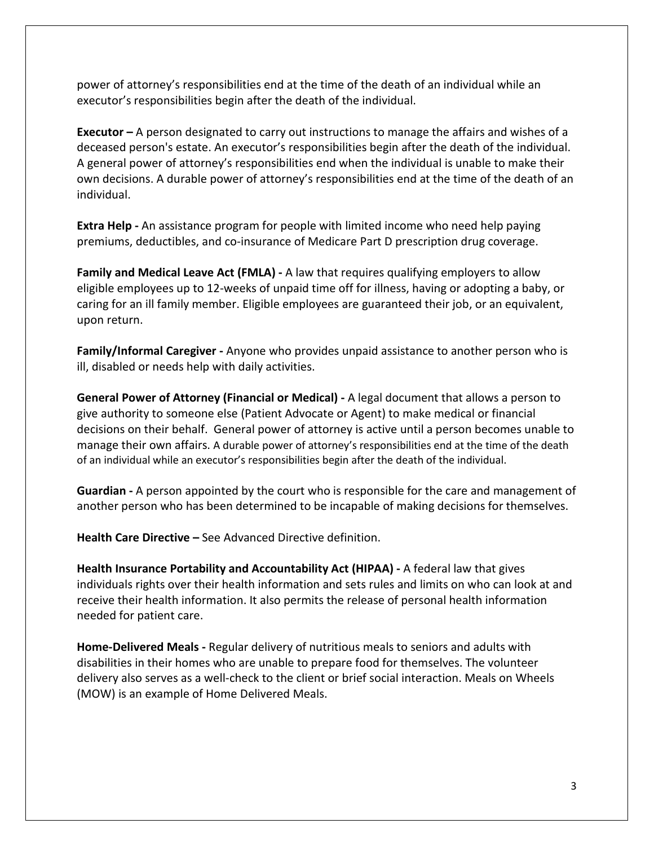power of attorney's responsibilities end at the time of the death of an individual while an executor's responsibilities begin after the death of the individual.

**Executor –** A person designated to carry out instructions to manage the affairs and wishes of a deceased person's estate. An executor's responsibilities begin after the death of the individual. A general power of attorney's responsibilities end when the individual is unable to make their own decisions. A durable power of attorney's responsibilities end at the time of the death of an individual.

**Extra Help -** An assistance program for people with limited income who need help paying premiums, deductibles, and co-insurance of Medicare Part D prescription drug coverage.

**Family and Medical Leave Act (FMLA) -** A law that requires qualifying employers to allow eligible employees up to 12-weeks of unpaid time off for illness, having or adopting a baby, or caring for an ill family member. Eligible employees are guaranteed their job, or an equivalent, upon return.

**Family/Informal Caregiver -** Anyone who provides unpaid assistance to another person who is ill, disabled or needs help with daily activities.

**General Power of Attorney (Financial or Medical) -** A legal document that allows a person to give authority to someone else (Patient Advocate or Agent) to make medical or financial decisions on their behalf. General power of attorney is active until a person becomes unable to manage their own affairs. A durable power of attorney's responsibilities end at the time of the death of an individual while an executor's responsibilities begin after the death of the individual.

**Guardian -** A person appointed by the court who is responsible for the care and management of another person who has been determined to be incapable of making decisions for themselves.

**Health Care Directive –** See Advanced Directive definition.

**Health Insurance Portability and Accountability Act (HIPAA) -** A federal law that gives individuals rights over their health information and sets rules and limits on who can look at and receive their health information. It also permits the release of personal health information needed for patient care.

**Home-Delivered Meals -** Regular delivery of nutritious meals to seniors and adults with disabilities in their homes who are unable to prepare food for themselves. The volunteer delivery also serves as a well-check to the client or brief social interaction. Meals on Wheels (MOW) is an example of Home Delivered Meals.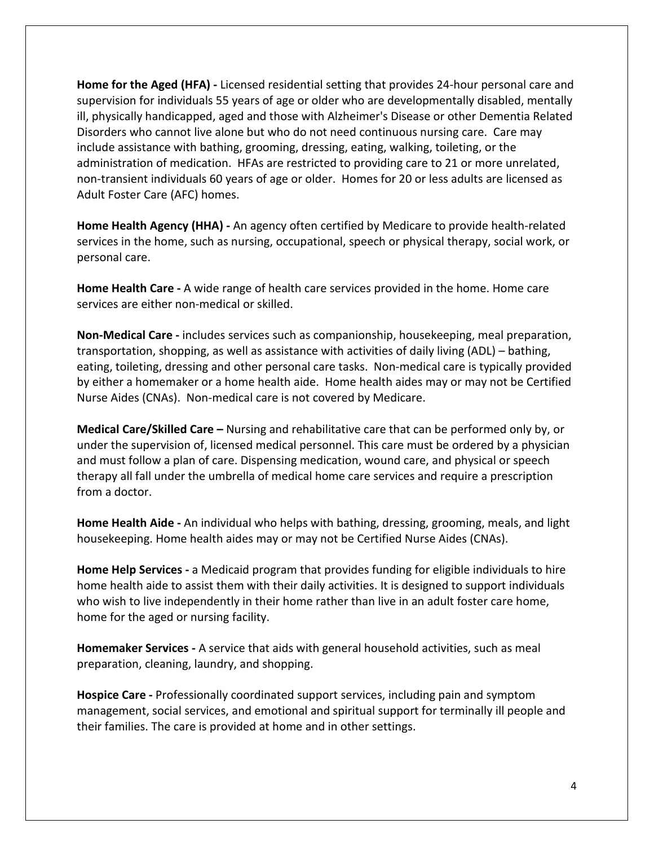**Home for the Aged (HFA) -** Licensed residential setting that provides 24-hour personal care and supervision for individuals 55 years of age or older who are developmentally disabled, mentally ill, physically handicapped, aged and those with Alzheimer's Disease or other Dementia Related Disorders who cannot live alone but who do not need continuous nursing care. Care may include assistance with bathing, grooming, dressing, eating, walking, toileting, or the administration of medication. HFAs are restricted to providing care to 21 or more unrelated, non-transient individuals 60 years of age or older. Homes for 20 or less adults are licensed as Adult Foster Care (AFC) homes.

**Home Health Agency (HHA) -** An agency often certified by Medicare to provide health-related services in the home, such as nursing, occupational, speech or physical therapy, social work, or personal care.

**Home Health Care -** A wide range of health care services provided in the home. Home care services are either non-medical or skilled.

**Non-Medical Care -** includes services such as companionship, housekeeping, meal preparation, transportation, shopping, as well as assistance with activities of daily living (ADL) – bathing, eating, toileting, dressing and other personal care tasks. Non-medical care is typically provided by either a homemaker or a home health aide. Home health aides may or may not be Certified Nurse Aides (CNAs). Non-medical care is not covered by Medicare.

**Medical Care/Skilled Care –** Nursing and rehabilitative care that can be performed only by, or under the supervision of, licensed medical personnel. This care must be ordered by a physician and must follow a plan of care. Dispensing medication, wound care, and physical or speech therapy all fall under the umbrella of medical home care services and require a prescription from a doctor.

**Home Health Aide -** An individual who helps with bathing, dressing, grooming, meals, and light housekeeping. Home health aides may or may not be Certified Nurse Aides (CNAs).

**Home Help Services -** a Medicaid program that provides funding for eligible individuals to hire home health aide to assist them with their daily activities. It is designed to support individuals who wish to live independently in their home rather than live in an adult foster care home, home for the aged or nursing facility.

**Homemaker Services -** A service that aids with general household activities, such as meal preparation, cleaning, laundry, and shopping.

**Hospice Care -** Professionally coordinated support services, including pain and symptom management, social services, and emotional and spiritual support for terminally ill people and their families. The care is provided at home and in other settings.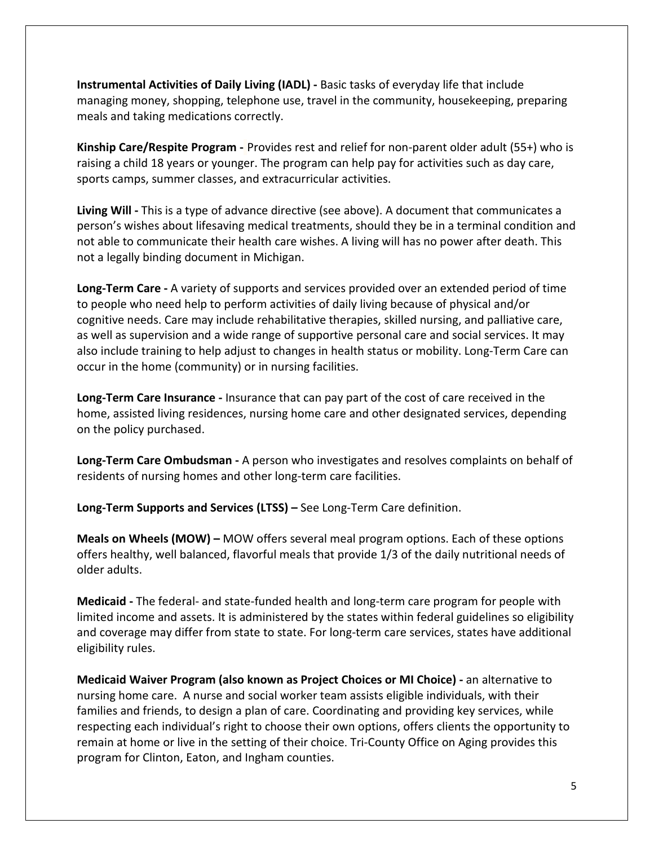**Instrumental Activities of Daily Living (IADL) -** Basic tasks of everyday life that include managing money, shopping, telephone use, travel in the community, housekeeping, preparing meals and taking medications correctly.

**[Kinship Care/Respite Program](https://www.tcoa.org/wp-content/uploads/2017/01/Kinship-Care-Brochure-Jan-2017.pdf) -** Provides rest and relief for non-parent older adult (55+) who is raising a child 18 years or younger. The program can help pay for activities such as day care, sports camps, summer classes, and extracurricular activities.

**Living Will -** This is a type of advance directive (see above). A document that communicates a person's wishes about lifesaving medical treatments, should they be in a terminal condition and not able to communicate their health care wishes. A living will has no power after death. This not a legally binding document in Michigan.

**Long-Term Care -** A variety of supports and services provided over an extended period of time to people who need help to perform activities of daily living because of physical and/or cognitive needs. Care may include rehabilitative therapies, skilled nursing, and palliative care, as well as supervision and a wide range of supportive personal care and social services. It may also include training to help adjust to changes in health status or mobility. Long-Term Care can occur in the home (community) or in nursing facilities.

**Long-Term Care Insurance -** Insurance that can pay part of the cost of care received in the home, assisted living residences, nursing home care and other designated services, depending on the policy purchased.

**Long-Term Care Ombudsman -** A person who investigates and resolves complaints on behalf of residents of nursing homes and other long-term care facilities.

**Long-Term Supports and Services (LTSS) –** See Long-Term Care definition.

**Meals on Wheels (MOW) –** MOW offers several meal program options. Each of these options offers healthy, well balanced, flavorful meals that provide 1/3 of the daily nutritional needs of older adults.

**Medicaid -** The federal- and state-funded health and long-term care program for people with limited income and assets. It is administered by the states within federal guidelines so eligibility and coverage may differ from state to state. For long-term care services, states have additional eligibility rules.

**Medicaid Waiver Program (also known as Project Choices or MI Choice) -** an alternative to nursing home care. A nurse and social worker team assists eligible individuals, with their families and friends, to design a plan of care. Coordinating and providing key services, while respecting each individual's right to choose their own options, offers clients the opportunity to remain at home or live in the setting of their choice. Tri-County Office on Aging provides this program for Clinton, Eaton, and Ingham counties.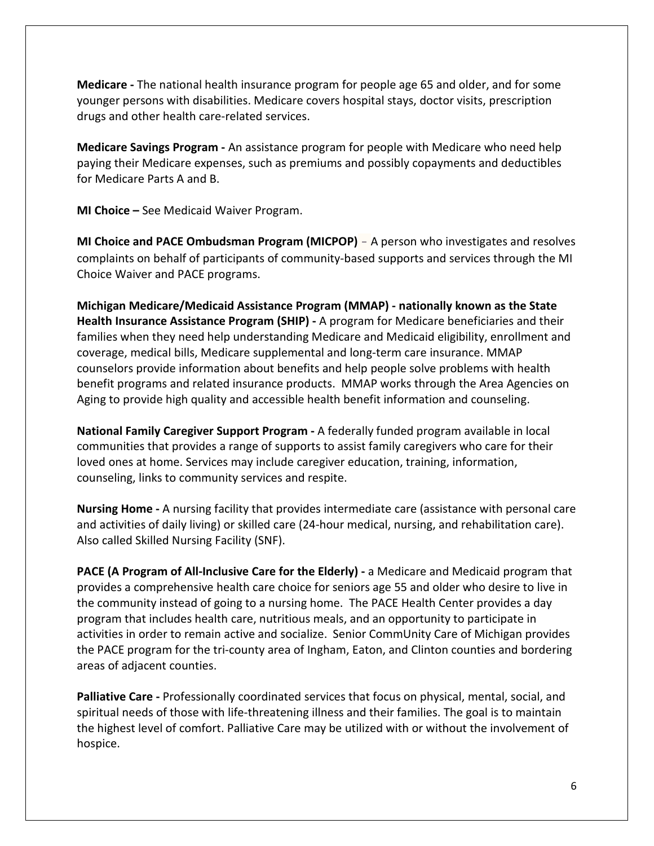**Medicare -** The national health insurance program for people age 65 and older, and for some younger persons with disabilities. Medicare covers hospital stays, doctor visits, prescription drugs and other health care-related services.

**Medicare Savings Program -** An assistance program for people with Medicare who need help paying their Medicare expenses, such as premiums and possibly copayments and deductibles for Medicare Parts A and B.

**MI Choice –** See Medicaid Waiver Program.

**MI Choice and PACE Ombudsman Program (MICPOP)** – A person who investigates and resolves complaints on behalf of participants of community-based supports and services through the MI Choice Waiver and PACE programs.

**Michigan Medicare/Medicaid Assistance Program (MMAP) - nationally known as the State Health Insurance Assistance Program (SHIP) -** A program for Medicare beneficiaries and their families when they need help understanding Medicare and Medicaid eligibility, enrollment and coverage, medical bills, Medicare supplemental and long-term care insurance. MMAP counselors provide information about benefits and help people solve problems with health benefit programs and related insurance products. MMAP works through the Area Agencies on Aging to provide high quality and accessible health benefit information and counseling.

**National Family Caregiver Support Program -** A federally funded program available in local communities that provides a range of supports to assist family caregivers who care for their loved ones at home. Services may include caregiver education, training, information, counseling, links to community services and respite.

**Nursing Home -** A nursing facility that provides intermediate care (assistance with personal care and activities of daily living) or skilled care (24-hour medical, nursing, and rehabilitation care). Also called Skilled Nursing Facility (SNF).

**PACE (A Program of All-Inclusive Care for the Elderly) -** a Medicare and Medicaid program that provides a comprehensive health care choice for seniors age 55 and older who desire to live in the community instead of going to a nursing home. The PACE Health Center provides a day program that includes health care, nutritious meals, and an opportunity to participate in activities in order to remain active and socialize. Senior CommUnity Care of Michigan provides the PACE program for the tri-county area of Ingham, Eaton, and Clinton counties and bordering areas of adjacent counties.

**Palliative Care -** Professionally coordinated services that focus on physical, mental, social, and spiritual needs of those with life-threatening illness and their families. The goal is to maintain the highest level of comfort. Palliative Care may be utilized with or without the involvement of hospice.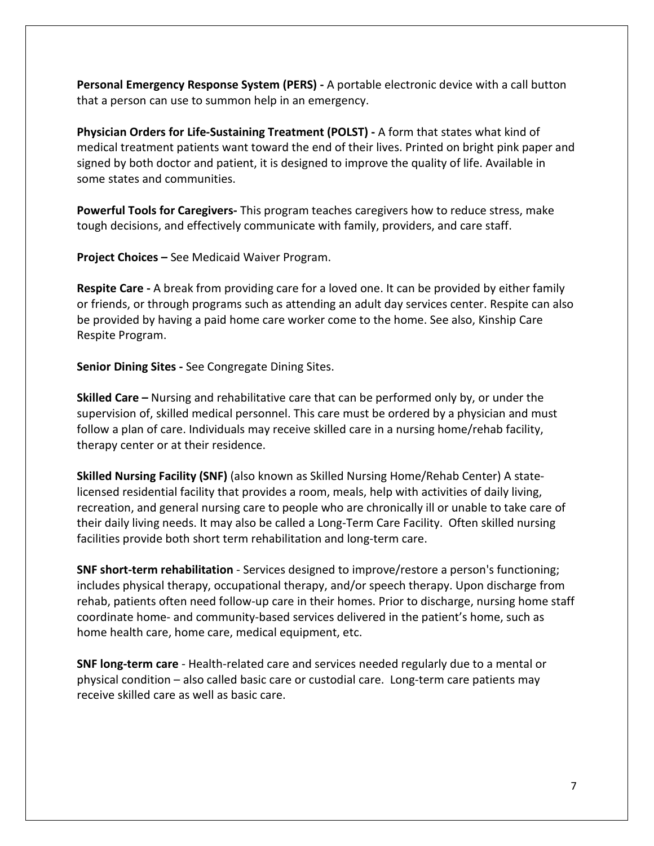**Personal Emergency Response System (PERS) -** A portable electronic device with a call button that a person can use to summon help in an emergency.

**Physician Orders for Life-Sustaining Treatment (POLST) -** A form that states what kind of medical treatment patients want toward the end of their lives. Printed on bright pink paper and signed by both doctor and patient, it is designed to improve the quality of life. Available in some states and communities.

**Powerful Tools for Caregivers-** This program teaches caregivers how to reduce stress, make tough decisions, and effectively communicate with family, providers, and care staff.

**Project Choices –** See Medicaid Waiver Program.

**Respite Care -** A break from providing care for a loved one. It can be provided by either family or friends, or through programs such as attending an adult day services center. Respite can also be provided by having a paid home care worker come to the home. See also, Kinship Care Respite Program.

**Senior Dining Sites -** See Congregate Dining Sites.

**Skilled Care –** Nursing and rehabilitative care that can be performed only by, or under the supervision of, skilled medical personnel. This care must be ordered by a physician and must follow a plan of care. Individuals may receive skilled care in a nursing home/rehab facility, therapy center or at their residence.

**Skilled Nursing Facility (SNF)** (also known as Skilled Nursing Home/Rehab Center) A statelicensed residential facility that provides a room, meals, help with activities of daily living, recreation, and general nursing care to people who are chronically ill or unable to take care of their daily living needs. It may also be called a Long-Term Care Facility. Often skilled nursing facilities provide both short term rehabilitation and long-term care.

**SNF short-term rehabilitation** - Services designed to improve/restore a person's functioning; includes physical therapy, occupational therapy, and/or speech therapy. Upon discharge from rehab, patients often need follow-up care in their homes. Prior to discharge, nursing home staff coordinate home- and community-based services delivered in the patient's home, such as home health care, home care, medical equipment, etc.

**SNF long-term care** - Health-related care and services needed regularly due to a mental or physical condition – also called basic care or custodial care. Long-term care patients may receive skilled care as well as basic care.